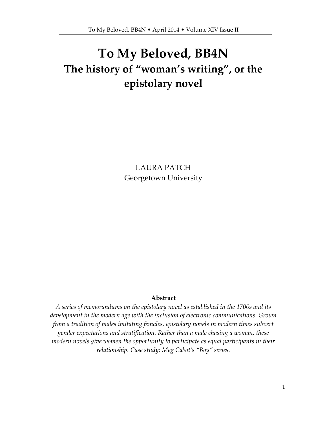# **To My Beloved, BB4N The history of "woman's writing", or the epistolary novel**

LAURA PATCH Georgetown University

#### **Abstract**

*A series of memorandums on the epistolary novel as established in the 1700s and its development in the modern age with the inclusion of electronic communications. Grown from a tradition of males imitating females, epistolary novels in modern times subvert gender expectations and stratification. Rather than a male chasing a woman, these modern novels give women the opportunity to participate as equal participants in their relationship. Case study: Meg Cabot's "Boy" series.*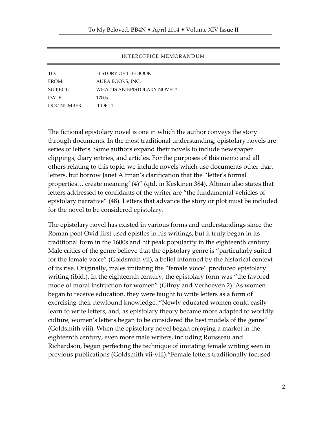#### INTEROFFICE MEMORANDUM

| TO:         | HISTORY OF THE BOOK          |
|-------------|------------------------------|
| FROM:       | AURA BOOKS, INC.             |
| SUBJECT:    | WHAT IS AN EPISTOLARY NOVEL? |
| DATE:       | 1700s                        |
| DOC NUMBER: | 1 OF 11                      |
|             |                              |

The fictional epistolary novel is one in which the author conveys the story through documents. In the most traditional understanding, epistolary novels are series of letters. Some authors expand their novels to include newspaper clippings, diary entries, and articles. For the purposes of this memo and all others relating to this topic, we include novels which use documents other than letters, but borrow Janet Altman's clarification that the "letter's formal properties… create meaning' (4)" (qtd. in Keskinen 384). Altman also states that letters addressed to confidants of the writer are "the fundamental vehicles of epistolary narrative" (48). Letters that advance the story or plot must be included for the novel to be considered epistolary.

The epistolary novel has existed in various forms and understandings since the Roman poet Ovid first used epistles in his writings, but it truly began in its traditional form in the 1600s and hit peak popularity in the eighteenth century. Male critics of the genre believe that the epistolary genre is "particularly suited for the female voice" (Goldsmith vii), a belief informed by the historical context of its rise. Originally, males imitating the "female voice" produced epistolary writing (ibid.). In the eighteenth century, the epistolary form was "the favored mode of moral instruction for women" (Gilroy and Verhoeven 2). As women began to receive education, they were taught to write letters as a form of exercising their newfound knowledge. "Newly educated women could easily learn to write letters, and, as epistolary theory became more adapted to worldly culture, women's letters began to be considered the best models of the genre" (Goldsmith viii). When the epistolary novel began enjoying a market in the eighteenth century, even more male writers, including Rousseau and Richardson, began perfecting the technique of imitating female writing seen in previous publications (Goldsmith vii-viii)."Female letters traditionally focused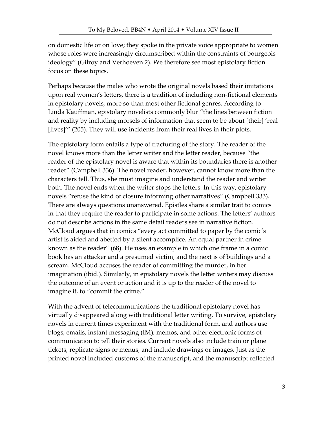on domestic life or on love; they spoke in the private voice appropriate to women whose roles were increasingly circumscribed within the constraints of bourgeois ideology" (Gilroy and Verhoeven 2). We therefore see most epistolary fiction focus on these topics.

Perhaps because the males who wrote the original novels based their imitations upon real women's letters, there is a tradition of including non-fictional elements in epistolary novels, more so than most other fictional genres. According to Linda Kauffman, epistolary novelists commonly blur "the lines between fiction and reality by including morsels of information that seem to be about [their] 'real [lives]'" (205). They will use incidents from their real lives in their plots.

The epistolary form entails a type of fracturing of the story. The reader of the novel knows more than the letter writer and the letter reader, because "the reader of the epistolary novel is aware that within its boundaries there is another reader" (Campbell 336). The novel reader, however, cannot know more than the characters tell. Thus, she must imagine and understand the reader and writer both. The novel ends when the writer stops the letters. In this way, epistolary novels "refuse the kind of closure informing other narratives" (Campbell 333). There are always questions unanswered. Epistles share a similar trait to comics in that they require the reader to participate in some actions. The letters' authors do not describe actions in the same detail readers see in narrative fiction. McCloud argues that in comics "every act committed to paper by the comic's artist is aided and abetted by a silent accomplice. An equal partner in crime known as the reader" (68). He uses an example in which one frame in a comic book has an attacker and a presumed victim, and the next is of buildings and a scream. McCloud accuses the reader of committing the murder, in her imagination (ibid.). Similarly, in epistolary novels the letter writers may discuss the outcome of an event or action and it is up to the reader of the novel to imagine it, to "commit the crime."

With the advent of telecommunications the traditional epistolary novel has virtually disappeared along with traditional letter writing. To survive, epistolary novels in current times experiment with the traditional form, and authors use blogs, emails, instant messaging (IM), memos, and other electronic forms of communication to tell their stories. Current novels also include train or plane tickets, replicate signs or menus, and include drawings or images. Just as the printed novel included customs of the manuscript, and the manuscript reflected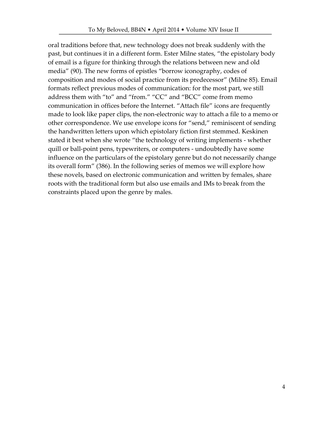oral traditions before that, new technology does not break suddenly with the past, but continues it in a different form. Ester Milne states, "the epistolary body of email is a figure for thinking through the relations between new and old media" (90). The new forms of epistles "borrow iconography, codes of composition and modes of social practice from its predecessor" (Milne 85). Email formats reflect previous modes of communication: for the most part, we still address them with "to" and "from." "CC" and "BCC" come from memo communication in offices before the Internet. "Attach file" icons are frequently made to look like paper clips, the non-electronic way to attach a file to a memo or other correspondence. We use envelope icons for "send," reminiscent of sending the handwritten letters upon which epistolary fiction first stemmed. Keskinen stated it best when she wrote "the technology of writing implements - whether quill or ball-point pens, typewriters, or computers - undoubtedly have some influence on the particulars of the epistolary genre but do not necessarily change its overall form" (386). In the following series of memos we will explore how these novels, based on electronic communication and written by females, share roots with the traditional form but also use emails and IMs to break from the constraints placed upon the genre by males.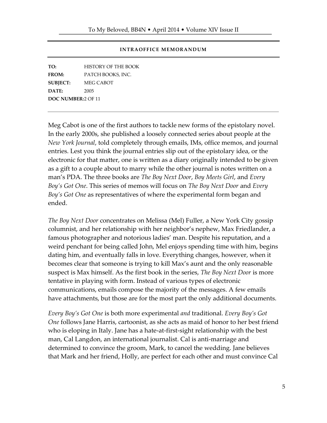| TO:                | HISTORY OF THE BOOK |
|--------------------|---------------------|
| <b>FROM:</b>       | PATCH BOOKS, INC.   |
| <b>SUBJECT:</b>    | MEG CABOT           |
| DATE:              | 2005                |
| DOC NUMBER:2 OF 11 |                     |
|                    |                     |

#### **INTRAOFFICE MEMORANDUM**

Meg Cabot is one of the first authors to tackle new forms of the epistolary novel. In the early 2000s, she published a loosely connected series about people at the *New York Journal*, told completely through emails, IMs, office memos, and journal entries. Lest you think the journal entries slip out of the epistolary idea, or the electronic for that matter, one is written as a diary originally intended to be given as a gift to a couple about to marry while the other journal is notes written on a man's PDA. The three books are *The Boy Next Door*, *Boy Meets Girl*, and *Every Boy's Got One*. This series of memos will focus on *The Boy Next Door* and *Every Boy's Got One* as representatives of where the experimental form began and ended.

*The Boy Next Door* concentrates on Melissa (Mel) Fuller, a New York City gossip columnist, and her relationship with her neighbor's nephew, Max Friedlander, a famous photographer and notorious ladies' man. Despite his reputation, and a weird penchant for being called John, Mel enjoys spending time with him, begins dating him, and eventually falls in love. Everything changes, however, when it becomes clear that someone is trying to kill Max's aunt and the only reasonable suspect is Max himself. As the first book in the series, *The Boy Next Door* is more tentative in playing with form. Instead of various types of electronic communications, emails compose the majority of the messages. A few emails have attachments, but those are for the most part the only additional documents.

*Every Boy's Got One* is both more experimental *and* traditional. *Every Boy's Got One* follows Jane Harris, cartoonist, as she acts as maid of honor to her best friend who is eloping in Italy. Jane has a hate-at-first-sight relationship with the best man, Cal Langdon, an international journalist. Cal is anti-marriage and determined to convince the groom, Mark, to cancel the wedding. Jane believes that Mark and her friend, Holly, are perfect for each other and must convince Cal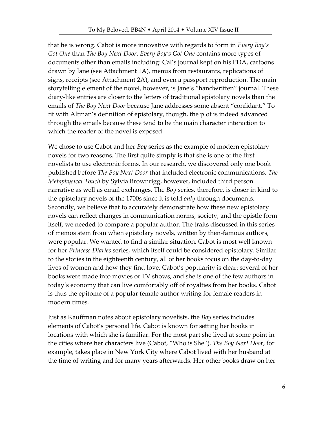that he is wrong. Cabot is more innovative with regards to form in *Every Boy's Got One* than *The Boy Next Door*. *Every Boy's Got One* contains more types of documents other than emails including: Cal's journal kept on his PDA, cartoons drawn by Jane (see Attachment 1A), menus from restaurants, replications of signs, receipts (see Attachment 2A), and even a passport reproduction. The main storytelling element of the novel, however, is Jane's "handwritten" journal. These diary-like entries are closer to the letters of traditional epistolary novels than the emails of *The Boy Next Door* because Jane addresses some absent "confidant." To fit with Altman's definition of epistolary, though, the plot is indeed advanced through the emails because these tend to be the main character interaction to which the reader of the novel is exposed.

We chose to use Cabot and her *Boy* series as the example of modern epistolary novels for two reasons. The first quite simply is that she is one of the first novelists to use electronic forms. In our research, we discovered only one book published before *The Boy Next Door* that included electronic communications. *The Metaphysical Touch* by Sylvia Brownrigg, however, included third person narrative as well as email exchanges. The *Boy* series, therefore, is closer in kind to the epistolary novels of the 1700s since it is told *only* through documents. Secondly, we believe that to accurately demonstrate how these new epistolary novels can reflect changes in communication norms, society, and the epistle form itself, we needed to compare a popular author. The traits discussed in this series of memos stem from when epistolary novels, written by then-famous authors, were popular. We wanted to find a similar situation. Cabot is most well known for her *Princess Diaries* series, which itself could be considered epistolary. Similar to the stories in the eighteenth century, all of her books focus on the day-to-day lives of women and how they find love. Cabot's popularity is clear: several of her books were made into movies or TV shows, and she is one of the few authors in today's economy that can live comfortably off of royalties from her books. Cabot is thus the epitome of a popular female author writing for female readers in modern times.

Just as Kauffman notes about epistolary novelists, the *Boy* series includes elements of Cabot's personal life. Cabot is known for setting her books in locations with which she is familiar. For the most part she lived at some point in the cities where her characters live (Cabot, "Who is She"). *The Boy Next Door*, for example, takes place in New York City where Cabot lived with her husband at the time of writing and for many years afterwards. Her other books draw on her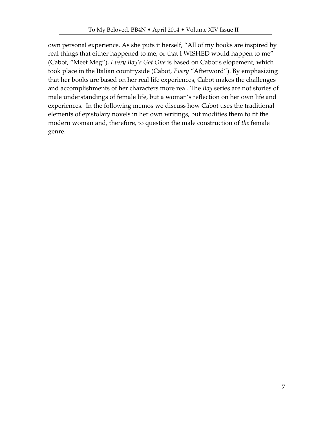own personal experience. As she puts it herself, "All of my books are inspired by real things that either happened to me, or that I WISHED would happen to me" (Cabot, "Meet Meg"). *Every Boy's Got One* is based on Cabot's elopement, which took place in the Italian countryside (Cabot, *Every* "Afterword"). By emphasizing that her books are based on her real life experiences, Cabot makes the challenges and accomplishments of her characters more real. The *Boy* series are not stories of male understandings of female life, but a woman's reflection on her own life and experiences. In the following memos we discuss how Cabot uses the traditional elements of epistolary novels in her own writings, but modifies them to fit the modern woman and, therefore, to question the male construction of *the* female genre.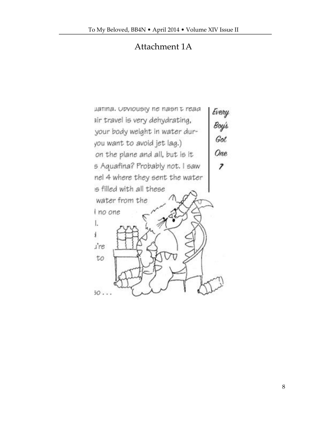## Attachment 1A

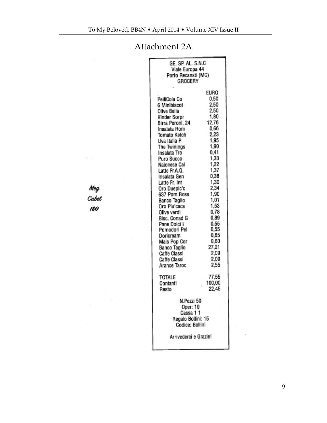## Attachment 2A

| GE. SP. AL. S.N.C<br>Viale Europa 44<br>Porto Recanati (MC)<br>GROCERY                                                                                                                                                                                                                                                                                                                                                                                                                        |                                                                                                                                                                                                                               |
|-----------------------------------------------------------------------------------------------------------------------------------------------------------------------------------------------------------------------------------------------------------------------------------------------------------------------------------------------------------------------------------------------------------------------------------------------------------------------------------------------|-------------------------------------------------------------------------------------------------------------------------------------------------------------------------------------------------------------------------------|
| EURO<br>PelliCola Co<br>6 Minibiscot<br>Olive Bella<br>Kinder Sorpr<br>12,76<br>Birra Peroni, 24<br>Insalata Rom<br>Tomato Ketch<br>Uva Italia P<br>The Twinings<br>Insalata Tro<br>Puro Succo<br>Naionese Cal<br>Latte Fr.A.Q.<br>Insalata Gen<br>Latte Fr. Int<br>Oro Duepic'c<br>637 Pom.Ross<br>Banco Taglio<br>Oro Piu'caca<br>Olive verdi<br>Bisc. Conad G<br>Pane Dolci I<br>Pomodori Pel<br>Doricream<br>Mais Pop Cor<br>Banco Taglio<br>Caffe Classi<br>Caffe Classi<br>Arance Taroc | 0,50<br>2,50<br>2,50<br>1,80<br>0,66<br>2,23<br>1,95<br>1,90<br>0,41<br>1,33<br>1,22<br>1,37<br>0,38<br>1,30<br>2,34<br>1,90<br>1,01<br>1,53<br>0,78<br>0,89<br>0.55<br>0,55<br>0,65<br>0,60<br>27,21<br>2,09<br>2,09<br>2,55 |
| TOTALE<br>Contanti<br>Resto                                                                                                                                                                                                                                                                                                                                                                                                                                                                   | 77,55<br>100,00<br>22,45                                                                                                                                                                                                      |
| N.Pezzi 50<br>Oper: 10<br>Cassa 11<br>Regalo Bollini: 15<br>Codice: Bollini                                                                                                                                                                                                                                                                                                                                                                                                                   |                                                                                                                                                                                                                               |
| Arrivederci e Grazie!                                                                                                                                                                                                                                                                                                                                                                                                                                                                         |                                                                                                                                                                                                                               |

Meg Cabot 180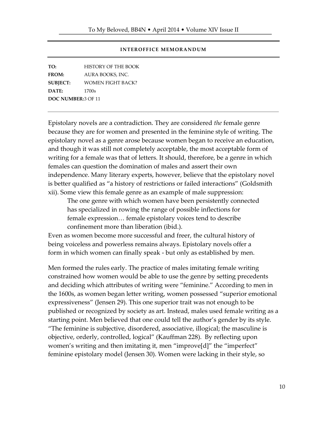#### **INTER OFFICE MEMOR ANDUM**

| TO:                       | HISTORY OF THE BOOK |
|---------------------------|---------------------|
| FROM:                     | AURA BOOKS, INC.    |
| <b>SUBJECT:</b>           | WOMEN FIGHT BACK?   |
| DATE:                     | 1700s               |
| <b>DOC NUMBER:3 OF 11</b> |                     |
|                           |                     |

Epistolary novels are a contradiction. They are considered *the* female genre because they are for women and presented in the feminine style of writing. The epistolary novel as a genre arose because women began to receive an education, and though it was still not completely acceptable, the most acceptable form of writing for a female was that of letters. It should, therefore, be a genre in which females can question the domination of males and assert their own independence. Many literary experts, however, believe that the epistolary novel is better qualified as "a history of restrictions or failed interactions" (Goldsmith xii). Some view this female genre as an example of male suppression:

The one genre with which women have been persistently connected has specialized in rowing the range of possible inflections for female expression… female epistolary voices tend to describe confinement more than liberation (ibid.).

Even as women become more successful and freer, the cultural history of being voiceless and powerless remains always. Epistolary novels offer a form in which women can finally speak - but only as established by men.

Men formed the rules early. The practice of males imitating female writing constrained how women would be able to use the genre by setting precedents and deciding which attributes of writing were "feminine." According to men in the 1600s, as women began letter writing, women possessed "superior emotional expressiveness" (Jensen 29). This one superior trait was not enough to be published or recognized by society as art. Instead, males used female writing as a starting point. Men believed that one could tell the author's gender by its style. "The feminine is subjective, disordered, associative, illogical; the masculine is objective, orderly, controlled, logical" (Kauffman 228). By reflecting upon women's writing and then imitating it, men "improve[d]" the "imperfect" feminine epistolary model (Jensen 30). Women were lacking in their style, so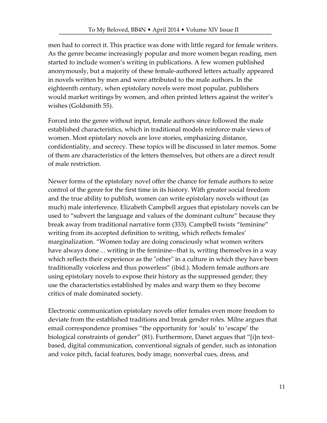men had to correct it. This practice was done with little regard for female writers. As the genre became increasingly popular and more women began reading, men started to include women's writing in publications. A few women published anonymously, but a majority of these female-authored letters actually appeared in novels written by men and were attributed to the male authors. In the eighteenth century, when epistolary novels were most popular, publishers would market writings by women, and often printed letters against the writer's wishes (Goldsmith 55).

Forced into the genre without input, female authors since followed the male established characteristics, which in traditional models reinforce male views of women. Most epistolary novels are love stories, emphasizing distance, confidentiality, and secrecy. These topics will be discussed in later memos. Some of them are characteristics of the letters themselves, but others are a direct result of male restriction.

Newer forms of the epistolary novel offer the chance for female authors to seize control of the genre for the first time in its history. With greater social freedom and the true ability to publish, women can write epistolary novels without (as much) male interference. Elizabeth Campbell argues that epistolary novels can be used to "subvert the language and values of the dominant culture" because they break away from traditional narrative form (333). Campbell twists "feminine" writing from its accepted definition to writing, which reflects females' marginalization. "Women today are doing consciously what women writers have always done… writing in the feminine--that is, writing themselves in a way which reflects their experience as the "other" in a culture in which they have been traditionally voiceless and thus powerless" (ibid.). Modern female authors are using epistolary novels to expose their history as the suppressed gender; they use the characteristics established by males and warp them so they become critics of male dominated society.

Electronic communication epistolary novels offer females even more freedom to deviate from the established traditions and break gender roles. Milne argues that email correspondence promises "the opportunity for 'souls' to 'escape' the biological constraints of gender" (81). Furthermore, Danet argues that "[i]n textbased, digital communication, conventional signals of gender, such as intonation and voice pitch, facial features, body image, nonverbal cues, dress, and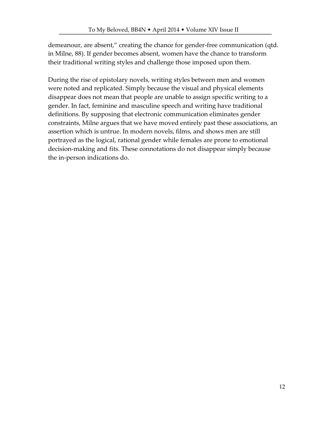demeanour, are absent," creating the chance for gender-free communication (qtd. in Milne, 88). If gender becomes absent, women have the chance to transform their traditional writing styles and challenge those imposed upon them.

During the rise of epistolary novels, writing styles between men and women were noted and replicated. Simply because the visual and physical elements disappear does not mean that people are unable to assign specific writing to a gender. In fact, feminine and masculine speech and writing have traditional definitions. By supposing that electronic communication eliminates gender constraints, Milne argues that we have moved entirely past these associations, an assertion which is untrue. In modern novels, films, and shows men are still portrayed as the logical, rational gender while females are prone to emotional decision-making and fits. These connotations do not disappear simply because the in-person indications do.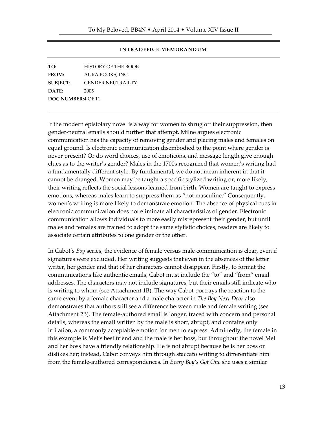| TO:                 | HISTORY OF THE BOOK      |
|---------------------|--------------------------|
| <b>FROM:</b>        | AURA BOOKS, INC.         |
| <b>SUBJECT:</b>     | <b>GENDER NEUTRAILTY</b> |
| DATE:               | 2005                     |
| DOC NUMBER: 4 OF 11 |                          |
|                     |                          |

#### **INTRAOFFICE MEMORANDUM**

If the modern epistolary novel is a way for women to shrug off their suppression, then gender-neutral emails should further that attempt. Milne argues electronic communication has the capacity of removing gender and placing males and females on equal ground. Is electronic communication disembodied to the point where gender is never present? Or do word choices, use of emoticons, and message length give enough clues as to the writer's gender? Males in the 1700s recognized that women's writing had a fundamentally different style. By fundamental, we do not mean inherent in that it cannot be changed. Women may be taught a specific stylized writing or, more likely, their writing reflects the social lessons learned from birth. Women are taught to express emotions, whereas males learn to suppress them as "not masculine." Consequently, women's writing is more likely to demonstrate emotion. The absence of physical cues in electronic communication does not eliminate all characteristics of gender. Electronic communication allows individuals to more easily misrepresent their gender, but until males and females are trained to adopt the same stylistic choices, readers are likely to associate certain attributes to one gender or the other.

In Cabot's *Boy* series, the evidence of female versus male communication is clear, even if signatures were excluded. Her writing suggests that even in the absences of the letter writer, her gender and that of her characters cannot disappear. Firstly, to format the communications like authentic emails, Cabot must include the "to" and "from" email addresses. The characters may not include signatures, but their emails still indicate who is writing to whom (see Attachment 1B). The way Cabot portrays the reaction to the same event by a female character and a male character in *The Boy Next Door* also demonstrates that authors still see a difference between male and female writing (see Attachment 2B). The female-authored email is longer, traced with concern and personal details, whereas the email written by the male is short, abrupt, and contains only irritation, a commonly acceptable emotion for men to express. Admittedly, the female in this example is Mel's best friend and the male is her boss, but throughout the novel Mel and her boss have a friendly relationship. He is not abrupt because he is her boss or dislikes her; instead, Cabot conveys him through staccato writing to differentiate him from the female-authored correspondences. In *Every Boy's Got One* she uses a similar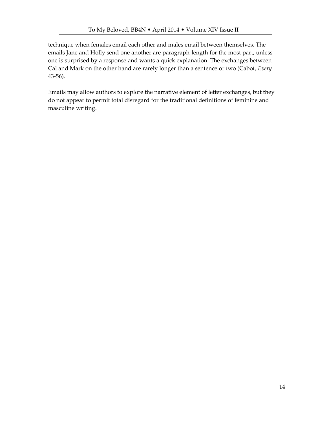technique when females email each other and males email between themselves. The emails Jane and Holly send one another are paragraph-length for the most part, unless one is surprised by a response and wants a quick explanation. The exchanges between Cal and Mark on the other hand are rarely longer than a sentence or two (Cabot, *Every* 43-56).

Emails may allow authors to explore the narrative element of letter exchanges, but they do not appear to permit total disregard for the traditional definitions of feminine and masculine writing.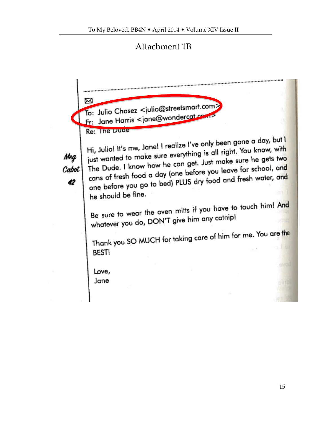## Attachment 1B

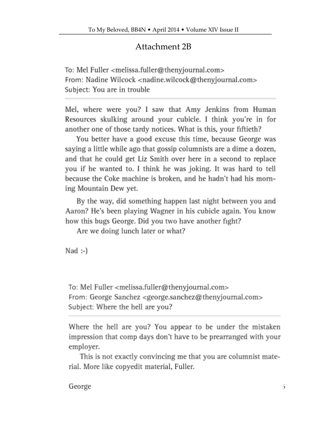### Attachment 2B

To: Mel Fuller <melissa.fuller@thenyjournal.com> From: Nadine Wilcock <nadine.wilcock@thenyjournal.com> Subject: You are in trouble

Mel, where were you? I saw that Amy Jenkins from Human Resources skulking around your cubicle. I think you're in for another one of those tardy notices. What is this, your fiftieth?

You better have a good excuse this time, because George was saying a little while ago that gossip columnists are a dime a dozen, and that he could get Liz Smith over here in a second to replace you if he wanted to. I think he was joking. It was hard to tell because the Coke machine is broken, and he hadn't had his morning Mountain Dew yet.

By the way, did something happen last night between you and Aaron? He's been playing Wagner in his cubicle again. You know how this bugs George. Did you two have another fight?

Are we doing lunch later or what?

 $Nad :=$ 

To: Mel Fuller <melissa.fuller@thenyjournal.com> From: George Sanchez <george.sanchez@thenyjournal.com> Subject: Where the hell are you?

Where the hell are you? You appear to be under the mistaken impression that comp days don't have to be prearranged with your employer.

This is not exactly convincing me that you are columnist material. More like copyedit material, Fuller.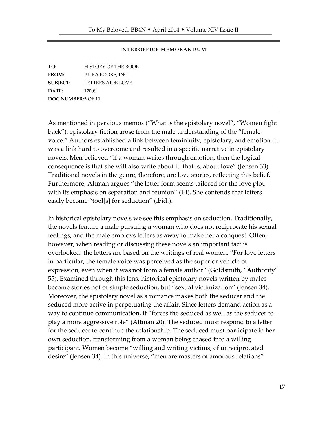| TO:                 | HISTORY OF THE BOOK |
|---------------------|---------------------|
| <b>FROM:</b>        | AURA BOOKS, INC.    |
| <b>SUBJECT:</b>     | LETTERS AIDE LOVE   |
| DATE:               | 1700S               |
| DOC NUMBER: 5 OF 11 |                     |
|                     |                     |

#### **INTER OFFICE MEMOR ANDUM**

As mentioned in pervious memos ("What is the epistolary novel", "Women fight back"), epistolary fiction arose from the male understanding of the "female voice." Authors established a link between femininity, epistolary, and emotion. It was a link hard to overcome and resulted in a specific narrative in epistolary novels. Men believed "if a woman writes through emotion, then the logical consequence is that she will also write about it, that is, about love" (Jensen 33). Traditional novels in the genre, therefore, are love stories, reflecting this belief. Furthermore, Altman argues "the letter form seems tailored for the love plot, with its emphasis on separation and reunion" (14). She contends that letters easily become "tool[s] for seduction" (ibid.).

In historical epistolary novels we see this emphasis on seduction. Traditionally, the novels feature a male pursuing a woman who does not reciprocate his sexual feelings, and the male employs letters as away to make her a conquest. Often, however, when reading or discussing these novels an important fact is overlooked: the letters are based on the writings of real women. "For love letters in particular, the female voice was perceived as the superior vehicle of expression, even when it was not from a female author" (Goldsmith, "Authority" 55). Examined through this lens, historical epistolary novels written by males become stories not of simple seduction, but "sexual victimization" (Jensen 34). Moreover, the epistolary novel as a romance makes both the seducer and the seduced more active in perpetuating the affair. Since letters demand action as a way to continue communication, it "forces the seduced as well as the seducer to play a more aggressive role" (Altman 20). The seduced must respond to a letter for the seducer to continue the relationship. The seduced must participate in her own seduction, transforming from a woman being chased into a willing participant. Women become "willing and writing victims, of unreciprocated desire" (Jensen 34). In this universe, "men are masters of amorous relations"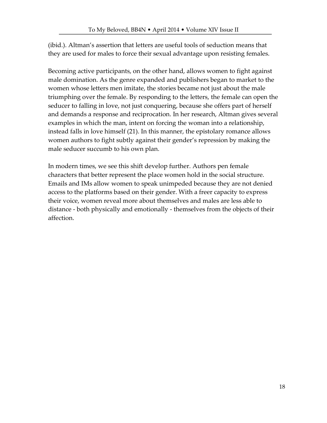(ibid.). Altman's assertion that letters are useful tools of seduction means that they are used for males to force their sexual advantage upon resisting females.

Becoming active participants, on the other hand, allows women to fight against male domination. As the genre expanded and publishers began to market to the women whose letters men imitate, the stories became not just about the male triumphing over the female. By responding to the letters, the female can open the seducer to falling in love, not just conquering, because she offers part of herself and demands a response and reciprocation. In her research, Altman gives several examples in which the man, intent on forcing the woman into a relationship, instead falls in love himself (21). In this manner, the epistolary romance allows women authors to fight subtly against their gender's repression by making the male seducer succumb to his own plan.

In modern times, we see this shift develop further. Authors pen female characters that better represent the place women hold in the social structure. Emails and IMs allow women to speak unimpeded because they are not denied access to the platforms based on their gender. With a freer capacity to express their voice, women reveal more about themselves and males are less able to distance - both physically and emotionally - themselves from the objects of their affection.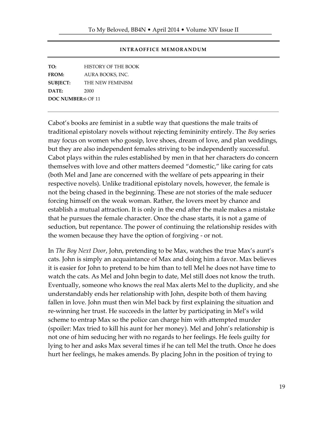| TO:                | HISTORY OF THE BOOK |
|--------------------|---------------------|
| FROM:              | AURA BOOKS, INC.    |
| <b>SUBJECT:</b>    | THE NEW FEMINISM    |
| DATE:              | 2000                |
| DOC NUMBER:6 OF 11 |                     |
|                    |                     |

#### **INTRAOFFICE MEMORANDUM**

Cabot's books are feminist in a subtle way that questions the male traits of traditional epistolary novels without rejecting femininity entirely. The *Boy* series may focus on women who gossip, love shoes, dream of love, and plan weddings, but they are also independent females striving to be independently successful. Cabot plays within the rules established by men in that her characters do concern themselves with love and other matters deemed "domestic," like caring for cats (both Mel and Jane are concerned with the welfare of pets appearing in their respective novels). Unlike traditional epistolary novels, however, the female is not the being chased in the beginning. These are not stories of the male seducer forcing himself on the weak woman. Rather, the lovers meet by chance and establish a mutual attraction. It is only in the end after the male makes a mistake that he pursues the female character. Once the chase starts, it is not a game of seduction, but repentance. The power of continuing the relationship resides with the women because they have the option of forgiving - or not.

In *The Boy Next Door*, John, pretending to be Max, watches the true Max's aunt's cats. John is simply an acquaintance of Max and doing him a favor. Max believes it is easier for John to pretend to be him than to tell Mel he does not have time to watch the cats. As Mel and John begin to date, Mel still does not know the truth. Eventually, someone who knows the real Max alerts Mel to the duplicity, and she understandably ends her relationship with John, despite both of them having fallen in love. John must then win Mel back by first explaining the situation and re-winning her trust. He succeeds in the latter by participating in Mel's wild scheme to entrap Max so the police can charge him with attempted murder (spoiler: Max tried to kill his aunt for her money). Mel and John's relationship is not one of him seducing her with no regards to her feelings. He feels guilty for lying to her and asks Max several times if he can tell Mel the truth. Once he does hurt her feelings, he makes amends. By placing John in the position of trying to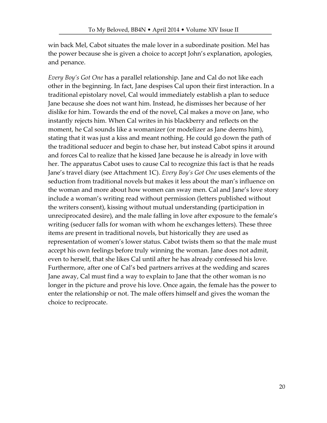win back Mel, Cabot situates the male lover in a subordinate position. Mel has the power because she is given a choice to accept John's explanation, apologies, and penance.

*Every Boy's Got One* has a parallel relationship. Jane and Cal do not like each other in the beginning. In fact, Jane despises Cal upon their first interaction. In a traditional epistolary novel, Cal would immediately establish a plan to seduce Jane because she does not want him. Instead, he dismisses her because of her dislike for him. Towards the end of the novel, Cal makes a move on Jane, who instantly rejects him. When Cal writes in his blackberry and reflects on the moment, he Cal sounds like a womanizer (or modelizer as Jane deems him), stating that it was just a kiss and meant nothing. He could go down the path of the traditional seducer and begin to chase her, but instead Cabot spins it around and forces Cal to realize that he kissed Jane because he is already in love with her. The apparatus Cabot uses to cause Cal to recognize this fact is that he reads Jane's travel diary (see Attachment 1C). *Every Boy's Got One* uses elements of the seduction from traditional novels but makes it less about the man's influence on the woman and more about how women can sway men. Cal and Jane's love story include a woman's writing read without permission (letters published without the writers consent), kissing without mutual understanding (participation in unreciprocated desire), and the male falling in love after exposure to the female's writing (seducer falls for woman with whom he exchanges letters). These three items are present in traditional novels, but historically they are used as representation of women's lower status. Cabot twists them so that the male must accept his own feelings before truly winning the woman. Jane does not admit, even to herself, that she likes Cal until after he has already confessed his love. Furthermore, after one of Cal's bed partners arrives at the wedding and scares Jane away, Cal must find a way to explain to Jane that the other woman is no longer in the picture and prove his love. Once again, the female has the power to enter the relationship or not. The male offers himself and gives the woman the choice to reciprocate.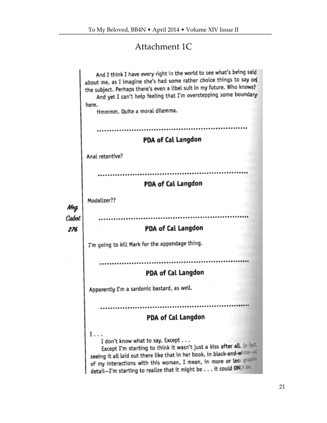## Attachment 1C

|              | And I think I have every right in the world to see what's being said<br>about me, as I imagine she's had some rather choice things to say on<br>the subject. Perhaps there's even a libel suit in my future. Who knows?<br>And yet I can't help feeling that I'm overstepping some boundary                                          |
|--------------|--------------------------------------------------------------------------------------------------------------------------------------------------------------------------------------------------------------------------------------------------------------------------------------------------------------------------------------|
|              | here.<br>Hmmmm. Quite a moral dilemma.                                                                                                                                                                                                                                                                                               |
|              | PDA of Cal Langdon                                                                                                                                                                                                                                                                                                                   |
|              | Anal retentive?                                                                                                                                                                                                                                                                                                                      |
|              |                                                                                                                                                                                                                                                                                                                                      |
|              | PDA of Cal Langdon                                                                                                                                                                                                                                                                                                                   |
|              | Modelizer??                                                                                                                                                                                                                                                                                                                          |
| Meg<br>Cabot |                                                                                                                                                                                                                                                                                                                                      |
| 276          | PDA of Cal Langdon                                                                                                                                                                                                                                                                                                                   |
|              | I'm going to kill Mark for the appendage thing.                                                                                                                                                                                                                                                                                      |
|              |                                                                                                                                                                                                                                                                                                                                      |
|              | PDA of Cal Langdon                                                                                                                                                                                                                                                                                                                   |
|              | Apparently I'm a sardonic bastard, as well.                                                                                                                                                                                                                                                                                          |
|              |                                                                                                                                                                                                                                                                                                                                      |
|              | PDA of Cal Langdon                                                                                                                                                                                                                                                                                                                   |
|              | I don't know what to say. Except<br>Except I'm starting to think it wasn't just a kiss after all. In fact,<br>seeing it all laid out there like that in her book, in black-and-white-all<br>of my interactions with this woman, I mean, in more or less graphic<br>detail-I'm starting to realize that it might be it could ONLY be. |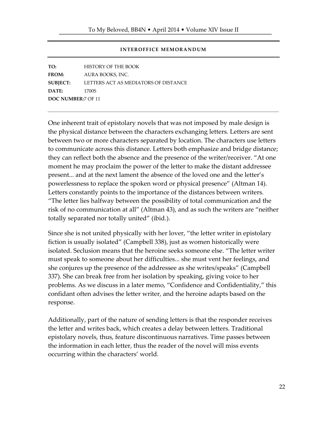#### **INTER OFFICE MEMOR ANDUM**

| TO:                 | HISTORY OF THE BOOK                  |
|---------------------|--------------------------------------|
|                     |                                      |
| <b>FROM:</b>        | AURA BOOKS, INC.                     |
| <b>SUBJECT:</b>     | LETTERS ACT AS MEDIATORS OF DISTANCE |
| DATE:               | 1700S                                |
| DOC NUMBER: 7 OF 11 |                                      |
|                     |                                      |

One inherent trait of epistolary novels that was not imposed by male design is the physical distance between the characters exchanging letters. Letters are sent between two or more characters separated by location. The characters use letters to communicate across this distance. Letters both emphasize and bridge distance; they can reflect both the absence and the presence of the writer/receiver. "At one moment he may proclaim the power of the letter to make the distant addressee present... and at the next lament the absence of the loved one and the letter's powerlessness to replace the spoken word or physical presence" (Altman 14). Letters constantly points to the importance of the distances between writers. "The letter lies halfway between the possibility of total communication and the risk of no communication at all" (Altman 43), and as such the writers are "neither totally separated nor totally united" (ibid.).

Since she is not united physically with her lover, "the letter writer in epistolary fiction is usually isolated" (Campbell 338), just as women historically were isolated. Seclusion means that the heroine seeks someone else. "The letter writer must speak to someone about her difficulties... she must vent her feelings, and she conjures up the presence of the addressee as she writes/speaks" (Campbell 337). She can break free from her isolation by speaking, giving voice to her problems. As we discuss in a later memo, "Confidence and Confidentiality," this confidant often advises the letter writer, and the heroine adapts based on the response.

Additionally, part of the nature of sending letters is that the responder receives the letter and writes back, which creates a delay between letters. Traditional epistolary novels, thus, feature discontinuous narratives. Time passes between the information in each letter, thus the reader of the novel will miss events occurring within the characters' world.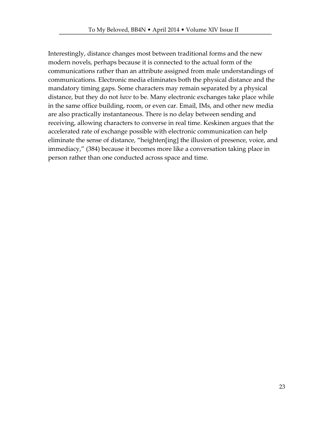Interestingly, distance changes most between traditional forms and the new modern novels, perhaps because it is connected to the actual form of the communications rather than an attribute assigned from male understandings of communications. Electronic media eliminates both the physical distance and the mandatory timing gaps. Some characters may remain separated by a physical distance, but they do not *have* to be. Many electronic exchanges take place while in the same office building, room, or even car. Email, IMs, and other new media are also practically instantaneous. There is no delay between sending and receiving, allowing characters to converse in real time. Keskinen argues that the accelerated rate of exchange possible with electronic communication can help eliminate the sense of distance, "heighten[ing] the illusion of presence, voice, and immediacy," (384) because it becomes more like a conversation taking place in person rather than one conducted across space and time.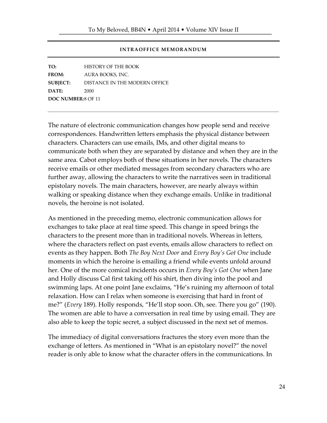#### **INTRAOFFICE MEMORANDUM**

| TO:                | HISTORY OF THE BOOK           |
|--------------------|-------------------------------|
| <b>FROM:</b>       | AURA BOOKS, INC.              |
| <b>SUBJECT:</b>    | DISTANCE IN THE MODERN OFFICE |
| DATE:              | 2000                          |
| DOC NUMBER:8 OF 11 |                               |
|                    |                               |

The nature of electronic communication changes how people send and receive correspondences. Handwritten letters emphasis the physical distance between characters. Characters can use emails, IMs, and other digital means to communicate both when they are separated by distance and when they are in the same area. Cabot employs both of these situations in her novels. The characters receive emails or other mediated messages from secondary characters who are further away, allowing the characters to write the narratives seen in traditional epistolary novels. The main characters, however, are nearly always within walking or speaking distance when they exchange emails. Unlike in traditional novels, the heroine is not isolated.

As mentioned in the preceding memo, electronic communication allows for exchanges to take place at real time speed. This change in speed brings the characters to the present more than in traditional novels. Whereas in letters, where the characters reflect on past events, emails allow characters to reflect on events as they happen. Both *The Boy Next Door* and *Every Boy's Got One* include moments in which the heroine is emailing a friend while events unfold around her. One of the more comical incidents occurs in *Every Boy's Got One* when Jane and Holly discuss Cal first taking off his shirt, then diving into the pool and swimming laps. At one point Jane exclaims, "He's ruining my afternoon of total relaxation. How can I relax when someone is exercising that hard in front of me?" (*Every* 189). Holly responds, "He'll stop soon. Oh, see. There you go" (190). The women are able to have a conversation in real time by using email. They are also able to keep the topic secret, a subject discussed in the next set of memos.

The immediacy of digital conversations fractures the story even more than the exchange of letters. As mentioned in "What is an epistolary novel?" the novel reader is only able to know what the character offers in the communications. In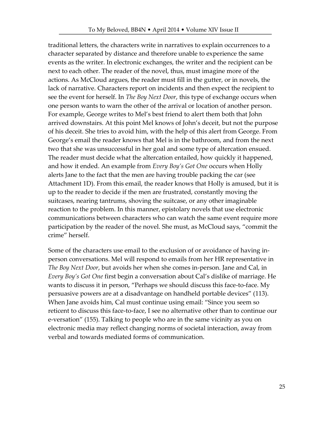traditional letters, the characters write in narratives to explain occurrences to a character separated by distance and therefore unable to experience the same events as the writer. In electronic exchanges, the writer and the recipient can be next to each other. The reader of the novel, thus, must imagine more of the actions. As McCloud argues, the reader must fill in the gutter, or in novels, the lack of narrative. Characters report on incidents and then expect the recipient to see the event for herself. In *The Boy Next Door*, this type of exchange occurs when one person wants to warn the other of the arrival or location of another person. For example, George writes to Mel's best friend to alert them both that John arrived downstairs. At this point Mel knows of John's deceit, but not the purpose of his deceit. She tries to avoid him, with the help of this alert from George. From George's email the reader knows that Mel is in the bathroom, and from the next two that she was unsuccessful in her goal and some type of altercation ensued. The reader must decide what the altercation entailed, how quickly it happened, and how it ended. An example from *Every Boy's Got One* occurs when Holly alerts Jane to the fact that the men are having trouble packing the car (see Attachment 1D). From this email, the reader knows that Holly is amused, but it is up to the reader to decide if the men are frustrated, constantly moving the suitcases, nearing tantrums, shoving the suitcase, or any other imaginable reaction to the problem. In this manner, epistolary novels that use electronic communications between characters who can watch the same event require more participation by the reader of the novel. She must, as McCloud says, "commit the crime" herself.

Some of the characters use email to the exclusion of or avoidance of having inperson conversations. Mel will respond to emails from her HR representative in *The Boy Next Door*, but avoids her when she comes in-person. Jane and Cal, in *Every Boy's Got One* first begin a conversation about Cal's dislike of marriage. He wants to discuss it in person, "Perhaps we should discuss this face-to-face. My persuasive powers are at a disadvantage on handheld portable devices" (113). When Jane avoids him, Cal must continue using email: "Since you seem so reticent to discuss this face-to-face, I see no alternative other than to continue our e-versation" (155). Talking to people who are in the same vicinity as you on electronic media may reflect changing norms of societal interaction, away from verbal and towards mediated forms of communication.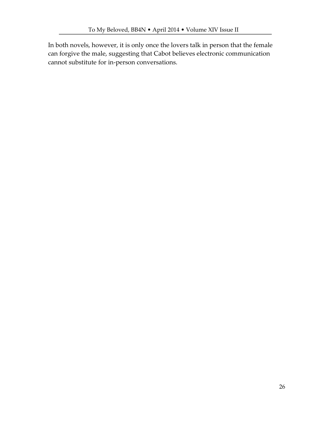In both novels, however, it is only once the lovers talk in person that the female can forgive the male, suggesting that Cabot believes electronic communication cannot substitute for in-person conversations.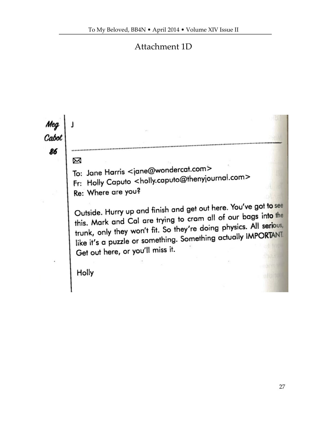### Attachment 1D

Cabot 86 ⊠ To: Jane Harris <jane@wondercat.com> Fr: Holly Caputo <holly.caputo@thenyjournal.com> Re: Where are you? Outside. Hurry up and finish and get out here. You've got to see Outside. Hurry up and tinish and gen connection to bags into the<br>this. Mark and Cal are trying to cram all of our bags into the this. Mark and Cal are trying to cram an original serious,<br>trunk, only they won't fit. So they're doing physics. All serious, trunk, only they won't till so they to dome property.<br>like it's a puzzle or something. Something actually IMPORTANT. Get out here, or you'll miss it. Holly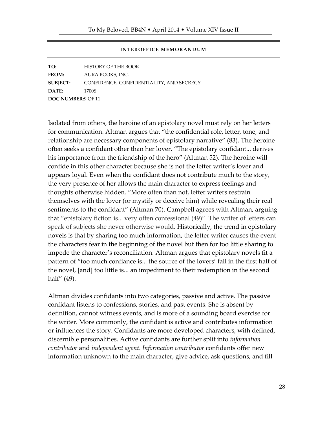#### **INTER OFFICE MEMOR ANDUM**

| TO:                 | HISTORY OF THE BOOK                      |  |
|---------------------|------------------------------------------|--|
| <b>FROM:</b>        | AURA BOOKS, INC.                         |  |
| <b>SUBJECT:</b>     | CONFIDENCE, CONFIDENTIALITY, AND SECRECY |  |
| DATE:               | 1700S                                    |  |
| DOC NUMBER: 9 OF 11 |                                          |  |
|                     |                                          |  |

Isolated from others, the heroine of an epistolary novel must rely on her letters for communication. Altman argues that "the confidential role, letter, tone, and relationship are necessary components of epistolary narrative" (83). The heroine often seeks a confidant other than her lover. "The epistolary confidant... derives his importance from the friendship of the hero" (Altman 52). The heroine will confide in this other character because she is not the letter writer's lover and appears loyal. Even when the confidant does not contribute much to the story, the very presence of her allows the main character to express feelings and thoughts otherwise hidden. "More often than not, letter writers restrain themselves with the lover (or mystify or deceive him) while revealing their real sentiments to the confidant" (Altman 70). Campbell agrees with Altman, arguing that "epistolary fiction is... very often confessional (49)". The writer of letters can speak of subjects she never otherwise would. Historically, the trend in epistolary novels is that by sharing too much information, the letter writer causes the event the characters fear in the beginning of the novel but then for too little sharing to impede the character's reconciliation. Altman argues that epistolary novels fit a pattern of "too much confiance is... the source of the lovers' fall in the first half of the novel, [and] too little is... an impediment to their redemption in the second half" (49).

Altman divides confidants into two categories, passive and active. The passive confidant listens to confessions, stories, and past events. She is absent by definition, cannot witness events, and is more of a sounding board exercise for the writer. More commonly, the confidant is active and contributes information or influences the story. Confidants are more developed characters, with defined, discernible personalities. Active confidants are further split into *information contributor* and *independent agent*. *Information contributor* confidants offer new information unknown to the main character, give advice, ask questions, and fill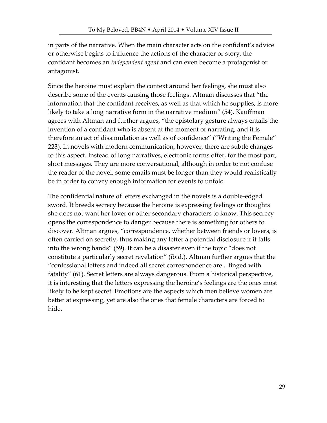in parts of the narrative. When the main character acts on the confidant's advice or otherwise begins to influence the actions of the character or story, the confidant becomes an *independent agent* and can even become a protagonist or antagonist.

Since the heroine must explain the context around her feelings, she must also describe some of the events causing those feelings. Altman discusses that "the information that the confidant receives, as well as that which he supplies, is more likely to take a long narrative form in the narrative medium" (54). Kauffman agrees with Altman and further argues, "the epistolary gesture always entails the invention of a confidant who is absent at the moment of narrating, and it is therefore an act of dissimulation as well as of confidence" ("Writing the Female" 223). In novels with modern communication, however, there are subtle changes to this aspect. Instead of long narratives, electronic forms offer, for the most part, short messages. They are more conversational, although in order to not confuse the reader of the novel, some emails must be longer than they would realistically be in order to convey enough information for events to unfold.

The confidential nature of letters exchanged in the novels is a double-edged sword. It breeds secrecy because the heroine is expressing feelings or thoughts she does not want her lover or other secondary characters to know. This secrecy opens the correspondence to danger because there is something for others to discover. Altman argues, "correspondence, whether between friends or lovers, is often carried on secretly, thus making any letter a potential disclosure if it falls into the wrong hands" (59). It can be a disaster even if the topic "does not constitute a particularly secret revelation" (ibid.). Altman further argues that the "confessional letters and indeed all secret correspondence are... tinged with fatality" (61). Secret letters are always dangerous. From a historical perspective, it is interesting that the letters expressing the heroine's feelings are the ones most likely to be kept secret. Emotions are the aspects which men believe women are better at expressing, yet are also the ones that female characters are forced to hide.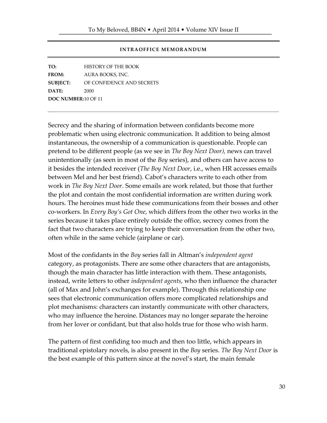#### **INTRAOFFICE MEMORANDUM**

| TO:                 | HISTORY OF THE BOOK       |
|---------------------|---------------------------|
| <b>FROM:</b>        | AURA BOOKS, INC.          |
| <b>SUBJECT:</b>     | OF CONFIDENCE AND SECRETS |
| DATE:               | 2000                      |
| DOC NUMBER:10 OF 11 |                           |
|                     |                           |

Secrecy and the sharing of information between confidants become more problematic when using electronic communication. It addition to being almost instantaneous, the ownership of a communication is questionable. People can pretend to be different people (as we see in *The Boy Next Door),* news can travel unintentionally (as seen in most of the *Boy* series), and others can have access to it besides the intended receiver (*The Boy Next Door*, i.e., when HR accesses emails between Mel and her best friend). Cabot's characters write to each other from work in *The Boy Next Door*. Some emails are work related, but those that further the plot and contain the most confidential information are written during work hours. The heroines must hide these communications from their bosses and other co-workers. In *Every Boy's Got One*, which differs from the other two works in the series because it takes place entirely outside the office, secrecy comes from the fact that two characters are trying to keep their conversation from the other two, often while in the same vehicle (airplane or car).

Most of the confidants in the *Boy* series fall in Altman's *independent agent* category, as protagonists. There are some other characters that are antagonists, though the main character has little interaction with them. These antagonists, instead, write letters to other *independent agents*, who then influence the character (all of Max and John's exchanges for example). Through this relationship one sees that electronic communication offers more complicated relationships and plot mechanisms: characters can instantly communicate with other characters, who may influence the heroine. Distances may no longer separate the heroine from her lover or confidant, but that also holds true for those who wish harm.

The pattern of first confiding too much and then too little, which appears in traditional epistolary novels, is also present in the *Boy* series. *The Boy Next Door* is the best example of this pattern since at the novel's start, the main female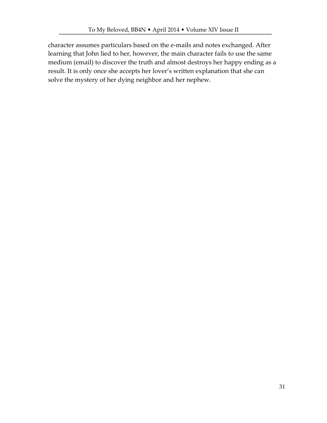character assumes particulars based on the e-mails and notes exchanged. After learning that John lied to her, however, the main character fails to use the same medium (email) to discover the truth and almost destroys her happy ending as a result. It is only once she accepts her lover's written explanation that she can solve the mystery of her dying neighbor and her nephew.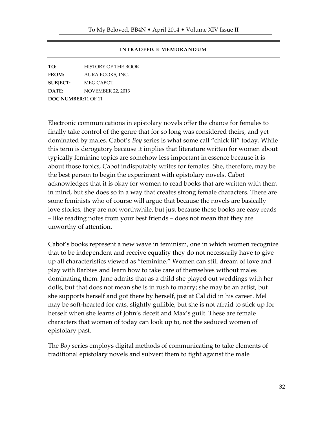| TO:                 | HISTORY OF THE BOOK      |
|---------------------|--------------------------|
| FROM:               | AURA BOOKS, INC.         |
| <b>SUBJECT:</b>     | MEG CABOT                |
| DATE:               | <b>NOVEMBER 22, 2013</b> |
| DOC NUMBER:11 OF 11 |                          |

#### **INTRAOFFICE MEMORANDUM**

Electronic communications in epistolary novels offer the chance for females to finally take control of the genre that for so long was considered theirs, and yet dominated by males. Cabot's *Boy* series is what some call "chick lit" today. While this term is derogatory because it implies that literature written for women about typically feminine topics are somehow less important in essence because it is about those topics, Cabot indisputably writes for females. She, therefore, may be the best person to begin the experiment with epistolary novels. Cabot acknowledges that it is okay for women to read books that are written with them in mind, but she does so in a way that creates strong female characters. There are some feminists who of course will argue that because the novels are basically love stories, they are not worthwhile, but just because these books are easy reads – like reading notes from your best friends – does not mean that they are unworthy of attention.

Cabot's books represent a new wave in feminism, one in which women recognize that to be independent and receive equality they do not necessarily have to give up all characteristics viewed as "feminine." Women can still dream of love and play with Barbies and learn how to take care of themselves without males dominating them. Jane admits that as a child she played out weddings with her dolls, but that does not mean she is in rush to marry; she may be an artist, but she supports herself and got there by herself, just at Cal did in his career. Mel may be soft-hearted for cats, slightly gullible, but she is not afraid to stick up for herself when she learns of John's deceit and Max's guilt. These are female characters that women of today can look up to, not the seduced women of epistolary past.

The *Boy* series employs digital methods of communicating to take elements of traditional epistolary novels and subvert them to fight against the male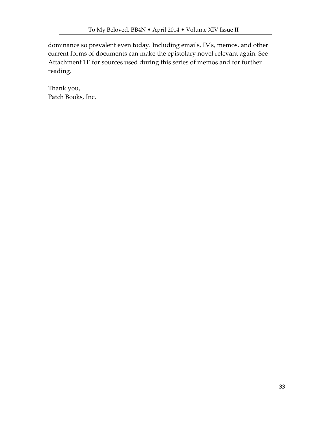dominance so prevalent even today. Including emails, IMs, memos, and other current forms of documents can make the epistolary novel relevant again. See Attachment 1E for sources used during this series of memos and for further reading.

Thank you, Patch Books, Inc.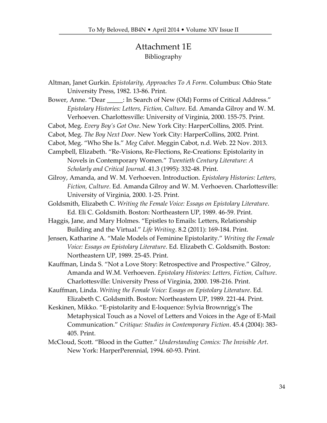### Attachment 1E Bibliography

- Altman, Janet Gurkin. *Epistolarity, Approaches To A Form*. Columbus: Ohio State University Press, 1982. 13-86. Print.
- Bower, Anne. "Dear : In Search of New (Old) Forms of Critical Address." *Epistolary Histories: Letters, Fiction, Culture*. Ed. Amanda Gilroy and W. M. Verhoeven. Charlottesville: University of Virginia, 2000. 155-75. Print.
- Cabot, Meg. *Every Boy's Got One*. New York City: HarperCollins, 2005. Print.
- Cabot, Meg. *The Boy Next Door*. New York City: HarperCollins, 2002. Print.
- Cabot, Meg. "Who She Is." *Meg Cabot*. Meggin Cabot, n.d. Web. 22 Nov. 2013.
- Campbell, Elizabeth. "Re-Visions, Re-Flections, Re-Creations: Epistolarity in Novels in Contemporary Women." *Twentieth Century Literature: A Scholarly and Critical Journal*. 41.3 (1995): 332-48. Print.
- Gilroy, Amanda, and W. M. Verhoeven. Introduction. *Epistolary Histories: Letters, Fiction, Culture*. Ed. Amanda Gilroy and W. M. Verhoeven. Charlottesville: University of Virginia, 2000. 1-25. Print.
- Goldsmith, Elizabeth C. *Writing the Female Voice: Essays on Epistolary Literature*. Ed. Eli C. Goldsmith. Boston: Northeastern UP, 1989. 46-59. Print.
- Haggis, Jane, and Mary Holmes. "Epistles to Emails: Letters, Relationship Building and the Virtual." *Life Writing*. 8.2 (2011): 169-184. Print.
- Jensen, Katharine A. "Male Models of Feminine Epistolarity." *Writing the Female Voice: Essays on Epistolary Literature*. Ed. Elizabeth C. Goldsmith. Boston: Northeastern UP, 1989. 25-45. Print.
- Kauffman, Linda S. "Not a Love Story: Retrospective and Prospective." Gilroy, Amanda and W.M. Verhoeven. *Epistolary Histories: Letters, Fiction, Culture*. Charlottesville: University Press of Virginia, 2000. 198-216. Print.
- Kauffman, Linda. *Writing the Female Voice: Essays on Epistolary Literature*. Ed. Elizabeth C. Goldsmith. Boston: Northeastern UP, 1989. 221-44. Print.
- Keskinen, Mikko. "E-pistolarity and E-loquence: Sylvia Brownrigg's The Metaphysical Touch as a Novel of Letters and Voices in the Age of E-Mail Communication." *Critique: Studies in Contemporary Fiction*. 45.4 (2004): 383- 405. Print.
- McCloud, Scott. "Blood in the Gutter." *Understanding Comics: The Invisible Art*. New York: HarperPerennial, 1994. 60-93. Print.